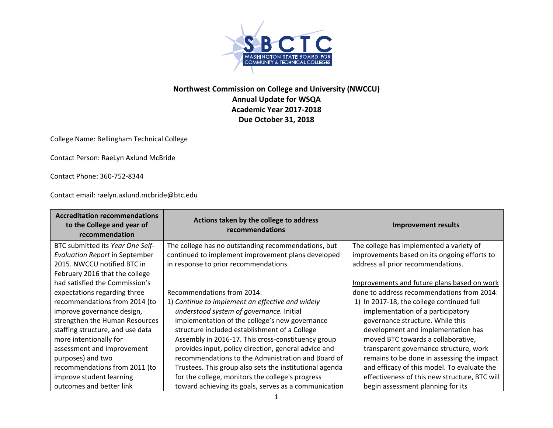

## **Northwest Commission on College and University (NWCCU) Annual Update for WSQA Academic Year 2017‐2018 Due October 31, 2018**

College Name: Bellingham Technical College

Contact Person: RaeLyn Axlund McBride

Contact Phone: 360‐752‐8344

Contact email: raelyn.axlund.mcbride@btc.edu

| <b>Accreditation recommendations</b><br>to the College and year of<br>recommendation | Actions taken by the college to address<br>recommendations | <b>Improvement results</b>                    |
|--------------------------------------------------------------------------------------|------------------------------------------------------------|-----------------------------------------------|
| BTC submitted its Year One Self-                                                     | The college has no outstanding recommendations, but        | The college has implemented a variety of      |
| <b>Evaluation Report in September</b>                                                | continued to implement improvement plans developed         | improvements based on its ongoing efforts to  |
| 2015. NWCCU notified BTC in                                                          | in response to prior recommendations.                      | address all prior recommendations.            |
| February 2016 that the college                                                       |                                                            |                                               |
| had satisfied the Commission's                                                       |                                                            | Improvements and future plans based on work   |
| expectations regarding three                                                         | Recommendations from 2014:                                 | done to address recommendations from 2014:    |
| recommendations from 2014 (to                                                        | 1) Continue to implement an effective and widely           | 1) In 2017-18, the college continued full     |
| improve governance design,                                                           | understood system of governance. Initial                   | implementation of a participatory             |
| strengthen the Human Resources                                                       | implementation of the college's new governance             | governance structure. While this              |
| staffing structure, and use data                                                     | structure included establishment of a College              | development and implementation has            |
| more intentionally for                                                               | Assembly in 2016-17. This cross-constituency group         | moved BTC towards a collaborative,            |
| assessment and improvement                                                           | provides input, policy direction, general advice and       | transparent governance structure, work        |
| purposes) and two                                                                    | recommendations to the Administration and Board of         | remains to be done in assessing the impact    |
| recommendations from 2011 (to                                                        | Trustees. This group also sets the institutional agenda    | and efficacy of this model. To evaluate the   |
| improve student learning                                                             | for the college, monitors the college's progress           | effectiveness of this new structure, BTC will |
| outcomes and better link                                                             | toward achieving its goals, serves as a communication      | begin assessment planning for its             |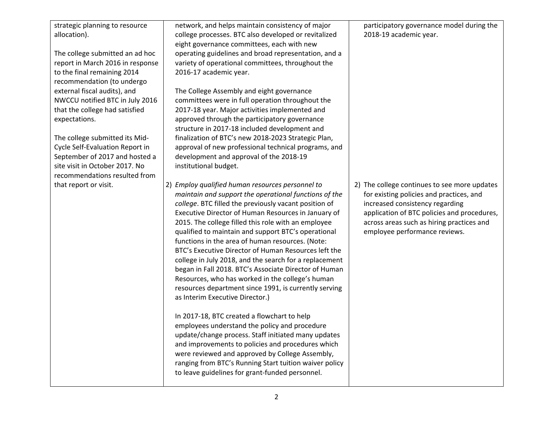| strategic planning to resource<br>allocation).                                                                                                                         | network, and helps maintain consistency of major<br>college processes. BTC also developed or revitalized<br>eight governance committees, each with new                                                                                                                                                                                                                                                                                                                                                                                                                                                                                                                                                                 | participatory governance model during the<br>2018-19 academic year.                                                                                                                                                                                      |
|------------------------------------------------------------------------------------------------------------------------------------------------------------------------|------------------------------------------------------------------------------------------------------------------------------------------------------------------------------------------------------------------------------------------------------------------------------------------------------------------------------------------------------------------------------------------------------------------------------------------------------------------------------------------------------------------------------------------------------------------------------------------------------------------------------------------------------------------------------------------------------------------------|----------------------------------------------------------------------------------------------------------------------------------------------------------------------------------------------------------------------------------------------------------|
| The college submitted an ad hoc<br>report in March 2016 in response<br>to the final remaining 2014<br>recommendation (to undergo                                       | operating guidelines and broad representation, and a<br>variety of operational committees, throughout the<br>2016-17 academic year.                                                                                                                                                                                                                                                                                                                                                                                                                                                                                                                                                                                    |                                                                                                                                                                                                                                                          |
| external fiscal audits), and<br>NWCCU notified BTC in July 2016<br>that the college had satisfied                                                                      | The College Assembly and eight governance<br>committees were in full operation throughout the<br>2017-18 year. Major activities implemented and                                                                                                                                                                                                                                                                                                                                                                                                                                                                                                                                                                        |                                                                                                                                                                                                                                                          |
| expectations.                                                                                                                                                          | approved through the participatory governance<br>structure in 2017-18 included development and                                                                                                                                                                                                                                                                                                                                                                                                                                                                                                                                                                                                                         |                                                                                                                                                                                                                                                          |
| The college submitted its Mid-<br>Cycle Self-Evaluation Report in<br>September of 2017 and hosted a<br>site visit in October 2017. No<br>recommendations resulted from | finalization of BTC's new 2018-2023 Strategic Plan,<br>approval of new professional technical programs, and<br>development and approval of the 2018-19<br>institutional budget.                                                                                                                                                                                                                                                                                                                                                                                                                                                                                                                                        |                                                                                                                                                                                                                                                          |
| that report or visit.                                                                                                                                                  | 2) Employ qualified human resources personnel to<br>maintain and support the operational functions of the<br>college. BTC filled the previously vacant position of<br>Executive Director of Human Resources in January of<br>2015. The college filled this role with an employee<br>qualified to maintain and support BTC's operational<br>functions in the area of human resources. (Note:<br>BTC's Executive Director of Human Resources left the<br>college in July 2018, and the search for a replacement<br>began in Fall 2018. BTC's Associate Director of Human<br>Resources, who has worked in the college's human<br>resources department since 1991, is currently serving<br>as Interim Executive Director.) | 2) The college continues to see more updates<br>for existing policies and practices, and<br>increased consistency regarding<br>application of BTC policies and procedures,<br>across areas such as hiring practices and<br>employee performance reviews. |
|                                                                                                                                                                        | In 2017-18, BTC created a flowchart to help<br>employees understand the policy and procedure<br>update/change process. Staff initiated many updates<br>and improvements to policies and procedures which<br>were reviewed and approved by College Assembly,<br>ranging from BTC's Running Start tuition waiver policy<br>to leave guidelines for grant-funded personnel.                                                                                                                                                                                                                                                                                                                                               |                                                                                                                                                                                                                                                          |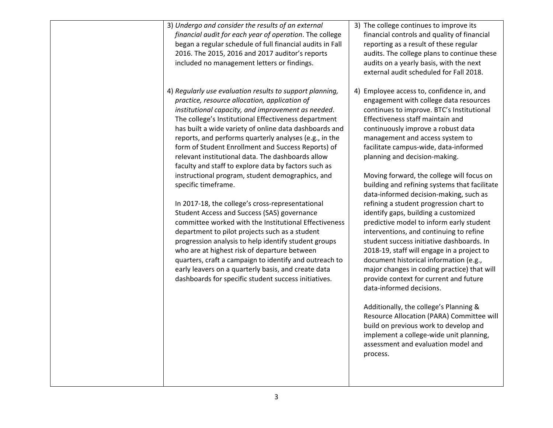| 3) Undergo and consider the results of an external<br>financial audit for each year of operation. The college<br>began a regular schedule of full financial audits in Fall<br>2016. The 2015, 2016 and 2017 auditor's reports<br>included no management letters or findings.                                                                                                                                                                                                                                                                                                                                                                                                                                                                                                                                                                                                                                                                                                                                                                                                             | 3) The college continues to improve its<br>financial controls and quality of financial<br>reporting as a result of these regular<br>audits. The college plans to continue these<br>audits on a yearly basis, with the next<br>external audit scheduled for Fall 2018.                                                                                                                                                                                                                                                                                                                                                                                                                                                                                                                                                                                                                                                                                                                                                                                                                                                             |
|------------------------------------------------------------------------------------------------------------------------------------------------------------------------------------------------------------------------------------------------------------------------------------------------------------------------------------------------------------------------------------------------------------------------------------------------------------------------------------------------------------------------------------------------------------------------------------------------------------------------------------------------------------------------------------------------------------------------------------------------------------------------------------------------------------------------------------------------------------------------------------------------------------------------------------------------------------------------------------------------------------------------------------------------------------------------------------------|-----------------------------------------------------------------------------------------------------------------------------------------------------------------------------------------------------------------------------------------------------------------------------------------------------------------------------------------------------------------------------------------------------------------------------------------------------------------------------------------------------------------------------------------------------------------------------------------------------------------------------------------------------------------------------------------------------------------------------------------------------------------------------------------------------------------------------------------------------------------------------------------------------------------------------------------------------------------------------------------------------------------------------------------------------------------------------------------------------------------------------------|
| 4) Regularly use evaluation results to support planning,<br>practice, resource allocation, application of<br>institutional capacity, and improvement as needed.<br>The college's Institutional Effectiveness department<br>has built a wide variety of online data dashboards and<br>reports, and performs quarterly analyses (e.g., in the<br>form of Student Enrollment and Success Reports) of<br>relevant institutional data. The dashboards allow<br>faculty and staff to explore data by factors such as<br>instructional program, student demographics, and<br>specific timeframe.<br>In 2017-18, the college's cross-representational<br>Student Access and Success (SAS) governance<br>committee worked with the Institutional Effectiveness<br>department to pilot projects such as a student<br>progression analysis to help identify student groups<br>who are at highest risk of departure between<br>quarters, craft a campaign to identify and outreach to<br>early leavers on a quarterly basis, and create data<br>dashboards for specific student success initiatives. | 4) Employee access to, confidence in, and<br>engagement with college data resources<br>continues to improve. BTC's Institutional<br>Effectiveness staff maintain and<br>continuously improve a robust data<br>management and access system to<br>facilitate campus-wide, data-informed<br>planning and decision-making.<br>Moving forward, the college will focus on<br>building and refining systems that facilitate<br>data-informed decision-making, such as<br>refining a student progression chart to<br>identify gaps, building a customized<br>predictive model to inform early student<br>interventions, and continuing to refine<br>student success initiative dashboards. In<br>2018-19, staff will engage in a project to<br>document historical information (e.g.,<br>major changes in coding practice) that will<br>provide context for current and future<br>data-informed decisions.<br>Additionally, the college's Planning &<br>Resource Allocation (PARA) Committee will<br>build on previous work to develop and<br>implement a college-wide unit planning,<br>assessment and evaluation model and<br>process. |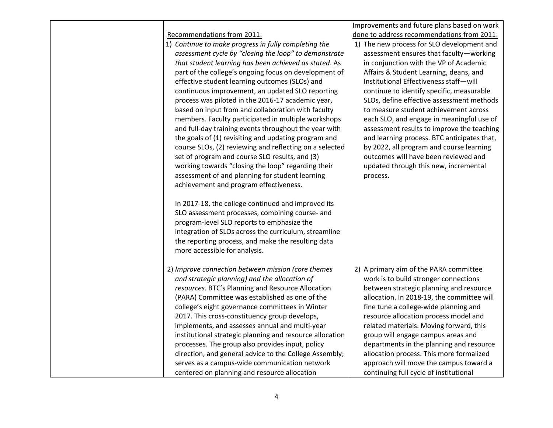|                                                          | Improvements and future plans based on work |
|----------------------------------------------------------|---------------------------------------------|
| Recommendations from 2011:                               | done to address recommendations from 2011:  |
| 1) Continue to make progress in fully completing the     | 1) The new process for SLO development and  |
| assessment cycle by "closing the loop" to demonstrate    | assessment ensures that faculty-working     |
| that student learning has been achieved as stated. As    | in conjunction with the VP of Academic      |
| part of the college's ongoing focus on development of    | Affairs & Student Learning, deans, and      |
| effective student learning outcomes (SLOs) and           | Institutional Effectiveness staff-will      |
| continuous improvement, an updated SLO reporting         | continue to identify specific, measurable   |
| process was piloted in the 2016-17 academic year,        | SLOs, define effective assessment methods   |
| based on input from and collaboration with faculty       | to measure student achievement across       |
| members. Faculty participated in multiple workshops      | each SLO, and engage in meaningful use of   |
| and full-day training events throughout the year with    | assessment results to improve the teaching  |
| the goals of (1) revisiting and updating program and     | and learning process. BTC anticipates that, |
| course SLOs, (2) reviewing and reflecting on a selected  | by 2022, all program and course learning    |
| set of program and course SLO results, and (3)           | outcomes will have been reviewed and        |
| working towards "closing the loop" regarding their       | updated through this new, incremental       |
| assessment of and planning for student learning          | process.                                    |
| achievement and program effectiveness.                   |                                             |
|                                                          |                                             |
| In 2017-18, the college continued and improved its       |                                             |
| SLO assessment processes, combining course- and          |                                             |
| program-level SLO reports to emphasize the               |                                             |
| integration of SLOs across the curriculum, streamline    |                                             |
| the reporting process, and make the resulting data       |                                             |
| more accessible for analysis.                            |                                             |
|                                                          |                                             |
| 2) Improve connection between mission (core themes       | 2) A primary aim of the PARA committee      |
| and strategic planning) and the allocation of            | work is to build stronger connections       |
| resources. BTC's Planning and Resource Allocation        | between strategic planning and resource     |
| (PARA) Committee was established as one of the           | allocation. In 2018-19, the committee will  |
| college's eight governance committees in Winter          | fine tune a college-wide planning and       |
| 2017. This cross-constituency group develops,            | resource allocation process model and       |
| implements, and assesses annual and multi-year           | related materials. Moving forward, this     |
| institutional strategic planning and resource allocation | group will engage campus areas and          |
| processes. The group also provides input, policy         | departments in the planning and resource    |
| direction, and general advice to the College Assembly;   | allocation process. This more formalized    |
| serves as a campus-wide communication network            | approach will move the campus toward a      |
| centered on planning and resource allocation             | continuing full cycle of institutional      |